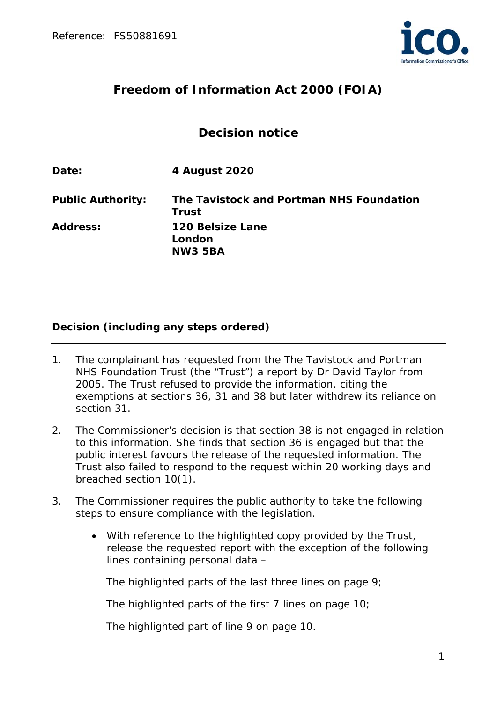

# **Freedom of Information Act 2000 (FOIA)**

# **Decision notice**

**Date: 4 August 2020** 

**Public Authority: The Tavistock and Portman NHS Foundation Trust Address: 120 Belsize Lane London NW3 5BA** 

## **Decision (including any steps ordered)**

- 1. The complainant has requested from the The Tavistock and Portman NHS Foundation Trust (the "Trust") a report by Dr David Taylor from 2005. The Trust refused to provide the information, citing the exemptions at sections 36, 31 and 38 but later withdrew its reliance on section 31.
- 2. The Commissioner's decision is that section 38 is not engaged in relation to this information. She finds that section 36 is engaged but that the public interest favours the release of the requested information. The Trust also failed to respond to the request within 20 working days and breached section 10(1).
- 3. The Commissioner requires the public authority to take the following steps to ensure compliance with the legislation.
	- With reference to the highlighted copy provided by the Trust, release the requested report with the exception of the following lines containing personal data –

The highlighted parts of the last three lines on page 9;

The highlighted parts of the first 7 lines on page 10;

The highlighted part of line 9 on page 10.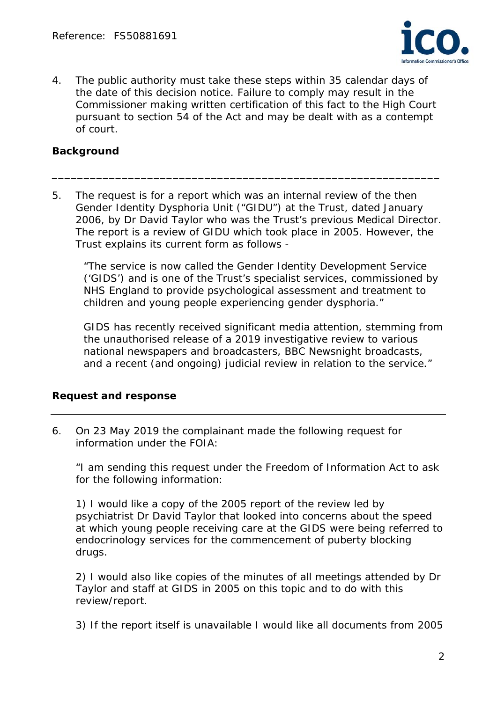

4. The public authority must take these steps within 35 calendar days of the date of this decision notice. Failure to comply may result in the Commissioner making written certification of this fact to the High Court pursuant to section 54 of the Act and may be dealt with as a contempt of court.

### **Background**

5. The request is for a report which was an internal review of the then Gender Identity Dysphoria Unit ("GIDU") at the Trust, dated January 2006, by Dr David Taylor who was the Trust's previous Medical Director. The report is a review of GIDU which took place in 2005. However, the Trust explains its current form as follows -

\_\_\_\_\_\_\_\_\_\_\_\_\_\_\_\_\_\_\_\_\_\_\_\_\_\_\_\_\_\_\_\_\_\_\_\_\_\_\_\_\_\_\_\_\_\_\_\_\_\_\_\_\_\_\_\_\_\_\_\_\_

 *"The service is now called the Gender Identity Development Service ('GIDS') and is one of the Trust's specialist services, commissioned by NHS England to provide psychological assessment and treatment to children and young people experiencing gender dysphoria."* 

 *GIDS has recently received significant media attention, stemming from the unauthorised release of a 2019 investigative review to various national newspapers and broadcasters, BBC Newsnight broadcasts, and a recent (and ongoing) judicial review in relation to the service."* 

### **Request and response**

6. On 23 May 2019 the complainant made the following request for information under the FOIA:

*"I am sending this request under the Freedom of Information Act to ask for the following information:*

*1) I would like a copy of the 2005 report of the review led by psychiatrist Dr David Taylor that looked into concerns about the speed at which young people receiving care at the GIDS were being referred to endocrinology services for the commencement of puberty blocking drugs.* 

*2) I would also like copies of the minutes of all meetings attended by Dr Taylor and staff at GIDS in 2005 on this topic and to do with this review/report.*

*3) If the report itself is unavailable I would like all documents from 2005*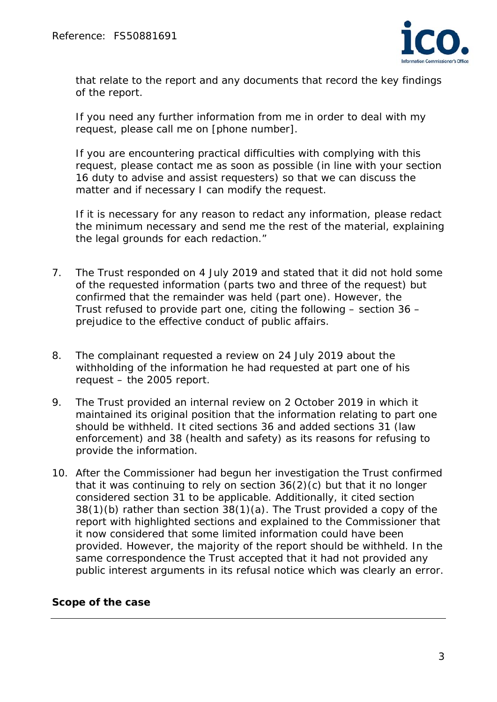

*that relate to the report and any documents that record the key findings of the report.*

*If you need any further information from me in order to deal with my request, please call me on* [phone number]*.*

*If you are encountering practical difficulties with complying with this request, please contact me as soon as possible (in line with your section 16 duty to advise and assist requesters) so that we can discuss the matter and if necessary I can modify the request.*

*If it is necessary for any reason to redact any information, please redact the minimum necessary and send me the rest of the material, explaining the legal grounds for each redaction."*

- 7. The Trust responded on 4 July 2019 and stated that it did not hold some of the requested information (parts two and three of the request) but confirmed that the remainder was held (part one). However, the Trust refused to provide part one, citing the following – section 36 – prejudice to the effective conduct of public affairs.
- 8. The complainant requested a review on 24 July 2019 about the withholding of the information he had requested at part one of his request – the 2005 report.
- 9. The Trust provided an internal review on 2 October 2019 in which it maintained its original position that the information relating to part one should be withheld. It cited sections 36 and added sections 31 (law enforcement) and 38 (health and safety) as its reasons for refusing to provide the information.
- 10. After the Commissioner had begun her investigation the Trust confirmed that it was continuing to rely on section 36(2)(c) but that it no longer considered section 31 to be applicable. Additionally, it cited section 38(1)(b) rather than section 38(1)(a). The Trust provided a copy of the report with highlighted sections and explained to the Commissioner that it now considered that some limited information could have been provided. However, the majority of the report should be withheld. In the same correspondence the Trust accepted that it had not provided any public interest arguments in its refusal notice which was clearly an error.

### **Scope of the case**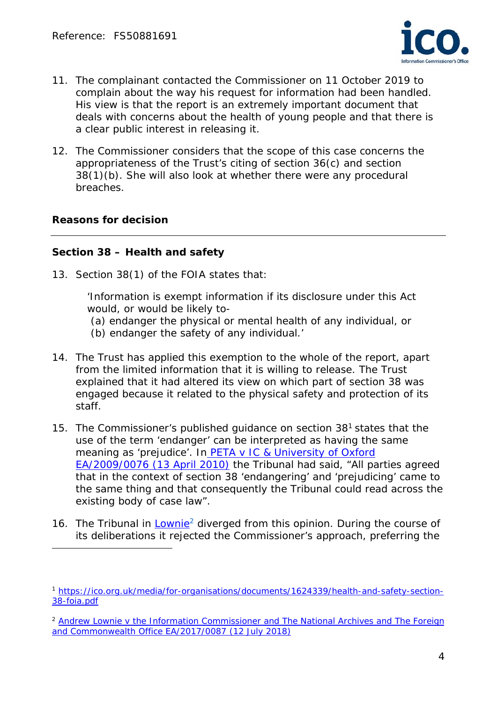

- 11. The complainant contacted the Commissioner on 11 October 2019 to complain about the way his request for information had been handled. His view is that the report is an extremely important document that deals with concerns about the health of young people and that there is a clear public interest in releasing it.
- 12. The Commissioner considers that the scope of this case concerns the appropriateness of the Trust's citing of section 36(c) and section 38(1)(b). She will also look at whether there were any procedural breaches.

### **Reasons for decision**

### **Section 38 – Health and safety**

13. Section 38(1) of the FOIA states that:

 *'Information is exempt information if its disclosure under this Act would, or would be likely to- (a) endanger the physical or mental health of any individual, or (b) endanger the safety of any individual.'* 

- 14. The Trust has applied this exemption to the whole of the report, apart from the limited information that it is willing to release. The Trust explained that it had altered its view on which part of section 38 was engaged because it related to the physical safety and protection of its staff.
- 15. The Commissioner's published quidance on section  $38<sup>1</sup>$  states that the use of the term 'endanger' can be interpreted as having the same meaning as 'prejudice'. In PETA v IC & University of Oxford EA/2009/0076 (13 April 2010) the Tribunal had said, *"All parties agreed that in the context of section 38 'endangering' and 'prejudicing' came to the same thing and that consequently the Tribunal could read across the existing body of case law"*.
- 16. The Tribunal in Lownie<sup>2</sup> diverged from this opinion. During the course of its deliberations it rejected the Commissioner's approach, preferring the

<sup>1</sup> https://ico.org.uk/media/for-organisations/documents/1624339/health-and-safety-section-38-foia.pdf

<sup>2</sup> *Andrew Lownie v the Information Commissioner and The National Archives and The Foreign and Commonwealth Office EA/2017/0087 (12 July 2018)*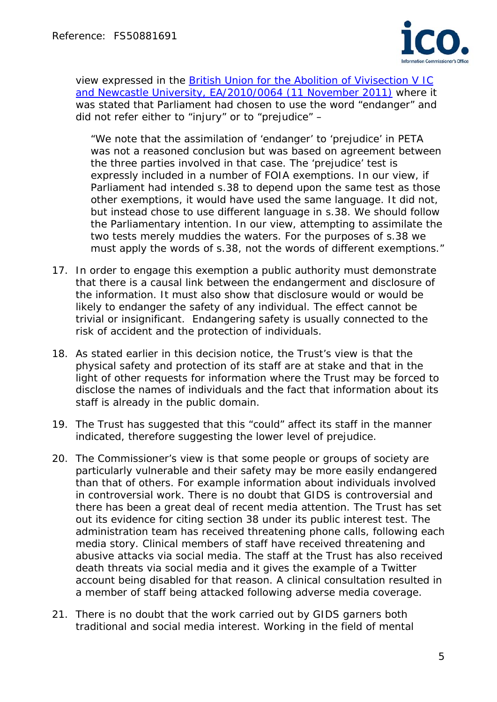

view expressed in the British Union for the Abolition of Vivisection V IC and Newcastle University, EA/2010/0064 (11 November 2011) where it was stated that Parliament had chosen to use the word "endanger" and did not refer either to "injury" or to "prejudice" –

 *"We note that the assimilation of 'endanger' to 'prejudice' in PETA was not a reasoned conclusion but was based on agreement between the three parties involved in that case. The 'prejudice' test is expressly included in a number of FOIA exemptions. In our view, if Parliament had intended s.38 to depend upon the same test as those other exemptions, it would have used the same language. It did not, but instead chose to use different language in s.38. We should follow the Parliamentary intention. In our view, attempting to assimilate the two tests merely muddies the waters. For the purposes of s.38 we must apply the words of s.38, not the words of different exemptions."* 

- 17. In order to engage this exemption a public authority must demonstrate that there is a causal link between the endangerment and disclosure of the information. It must also show that disclosure would or would be likely to endanger the safety of any individual. The effect cannot be trivial or insignificant. Endangering safety is usually connected to the risk of accident and the protection of individuals.
- 18. As stated earlier in this decision notice, the Trust's view is that the physical safety and protection of its staff are at stake and that in the light of other requests for information where the Trust may be forced to disclose the names of individuals and the fact that information about its staff is already in the public domain.
- 19. The Trust has suggested that this "could" affect its staff in the manner indicated, therefore suggesting the lower level of prejudice.
- 20. The Commissioner's view is that some people or groups of society are particularly vulnerable and their safety may be more easily endangered than that of others. For example information about individuals involved in controversial work. There is no doubt that GIDS is controversial and there has been a great deal of recent media attention. The Trust has set out its evidence for citing section 38 under its public interest test. The administration team has received threatening phone calls, following each media story. Clinical members of staff have received threatening and abusive attacks via social media. The staff at the Trust has also received death threats via social media and it gives the example of a Twitter account being disabled for that reason. A clinical consultation resulted in a member of staff being attacked following adverse media coverage.
- 21. There is no doubt that the work carried out by GIDS garners both traditional and social media interest. Working in the field of mental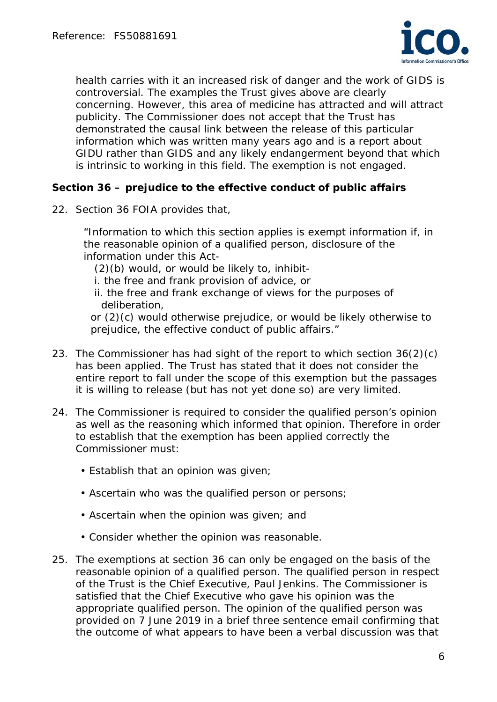

health carries with it an increased risk of danger and the work of GIDS is controversial. The examples the Trust gives above are clearly concerning. However, this area of medicine has attracted and will attract publicity. The Commissioner does not accept that the Trust has demonstrated the causal link between the release of this particular information which was written many years ago and is a report about GIDU rather than GIDS and any likely endangerment beyond that which is intrinsic to working in this field. The exemption is not engaged.

### **Section 36 – prejudice to the effective conduct of public affairs**

22. Section 36 FOIA provides that,

 *"Information to which this section applies is exempt information if, in the reasonable opinion of a qualified person, disclosure of the information under this Act-* 

 *(2)(b) would, or would be likely to, inhibit i. the free and frank provision of advice, or ii. the free and frank exchange of views for the purposes of deliberation,* 

 *or (2)(c) would otherwise prejudice, or would be likely otherwise to prejudice, the effective conduct of public affairs."* 

- 23. The Commissioner has had sight of the report to which section 36(2)(c) has been applied. The Trust has stated that it does not consider the entire report to fall under the scope of this exemption but the passages it is willing to release (but has not yet done so) are very limited.
- 24. The Commissioner is required to consider the qualified person's opinion as well as the reasoning which informed that opinion. Therefore in order to establish that the exemption has been applied correctly the Commissioner must:
	- Establish that an opinion was given;
	- Ascertain who was the qualified person or persons;
	- Ascertain when the opinion was given; and
	- Consider whether the opinion was reasonable.
- 25. The exemptions at section 36 can only be engaged on the basis of the reasonable opinion of a qualified person. The qualified person in respect of the Trust is the Chief Executive, Paul Jenkins. The Commissioner is satisfied that the Chief Executive who gave his opinion was the appropriate qualified person. The opinion of the qualified person was provided on 7 June 2019 in a brief three sentence email confirming that the outcome of what appears to have been a verbal discussion was that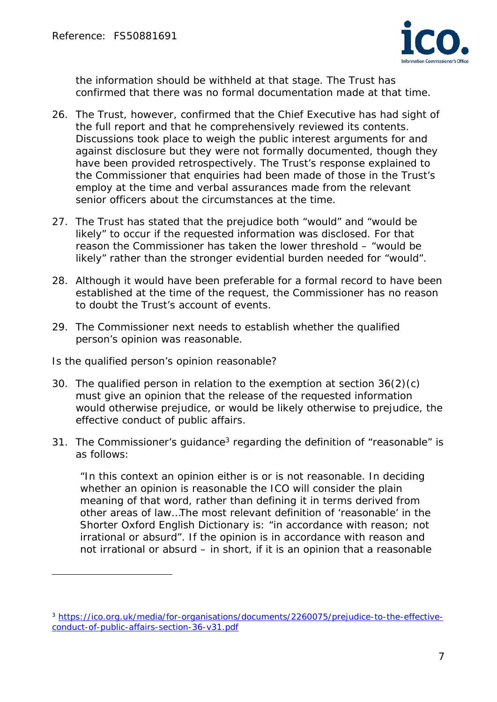

the information should be withheld at that stage. The Trust has confirmed that there was no formal documentation made at that time.

- 26. The Trust, however, confirmed that the Chief Executive has had sight of the full report and that he comprehensively reviewed its contents. Discussions took place to weigh the public interest arguments for and against disclosure but they were not formally documented, though they have been provided retrospectively. The Trust's response explained to the Commissioner that enquiries had been made of those in the Trust's employ at the time and verbal assurances made from the relevant senior officers about the circumstances at the time.
- 27. The Trust has stated that the prejudice both "would" and "would be likely" to occur if the requested information was disclosed. For that reason the Commissioner has taken the lower threshold – "would be likely" rather than the stronger evidential burden needed for "would".
- 28. Although it would have been preferable for a formal record to have been established at the time of the request, the Commissioner has no reason to doubt the Trust's account of events.
- 29. The Commissioner next needs to establish whether the qualified person's opinion was reasonable.
- *Is the qualified person's opinion reasonable?*
- 30. The qualified person in relation to the exemption at section 36(2)(c) must give an opinion that the release of the requested information would otherwise prejudice, or would be likely otherwise to prejudice, the effective conduct of public affairs.
- 31. The Commissioner's quidance<sup>3</sup> regarding the definition of "reasonable" is as follows:

 *"In this context an opinion either is or is not reasonable. In deciding whether an opinion is reasonable the ICO will consider the plain meaning of that word, rather than defining it in terms derived from other areas of law…The most relevant definition of 'reasonable' in the Shorter Oxford English Dictionary is: "in accordance with reason; not irrational or absurd". If the opinion is in accordance with reason and not irrational or absurd – in short, if it is an opinion that a reasonable* 

<sup>&</sup>lt;sup>3</sup> https://ico.org.uk/media/for-organisations/documents/2260075/prejudice-to-the-effectiveconduct-of-public-affairs-section-36-v31.pdf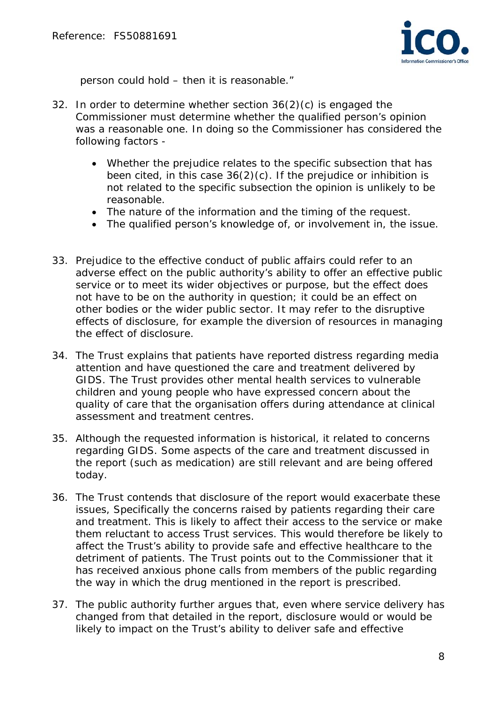

 *person could hold – then it is reasonable."* 

- 32. In order to determine whether section 36(2)(c) is engaged the Commissioner must determine whether the qualified person's opinion was a reasonable one. In doing so the Commissioner has considered the following factors -
	- Whether the prejudice relates to the specific subsection that has been cited, in this case 36(2)(c). If the prejudice or inhibition is not related to the specific subsection the opinion is unlikely to be reasonable.
	- The nature of the information and the timing of the request.
	- The qualified person's knowledge of, or involvement in, the issue.
- 33. Prejudice to the effective conduct of public affairs could refer to an adverse effect on the public authority's ability to offer an effective public service or to meet its wider objectives or purpose, but the effect does not have to be on the authority in question; it could be an effect on other bodies or the wider public sector. It may refer to the disruptive effects of disclosure, for example the diversion of resources in managing the effect of disclosure.
- 34. The Trust explains that patients have reported distress regarding media attention and have questioned the care and treatment delivered by GIDS. The Trust provides other mental health services to vulnerable children and young people who have expressed concern about the quality of care that the organisation offers during attendance at clinical assessment and treatment centres.
- 35. Although the requested information is historical, it related to concerns regarding GIDS. Some aspects of the care and treatment discussed in the report (such as medication) are still relevant and are being offered today.
- 36. The Trust contends that disclosure of the report would exacerbate these issues, Specifically the concerns raised by patients regarding their care and treatment. This is likely to affect their access to the service or make them reluctant to access Trust services. This would therefore be likely to affect the Trust's ability to provide safe and effective healthcare to the detriment of patients. The Trust points out to the Commissioner that it has received anxious phone calls from members of the public regarding the way in which the drug mentioned in the report is prescribed.
- 37. The public authority further argues that, even where service delivery has changed from that detailed in the report, disclosure would or would be likely to impact on the Trust's ability to deliver safe and effective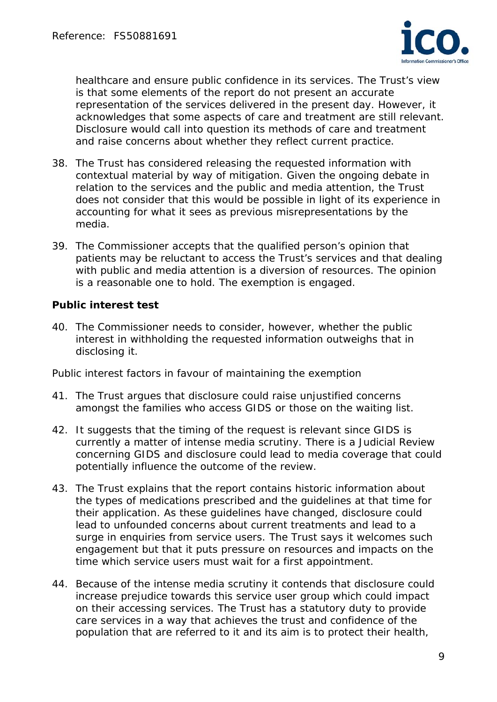

healthcare and ensure public confidence in its services. The Trust's view is that some elements of the report do not present an accurate representation of the services delivered in the present day. However, it acknowledges that some aspects of care and treatment are still relevant. Disclosure would call into question its methods of care and treatment and raise concerns about whether they reflect current practice.

- 38. The Trust has considered releasing the requested information with contextual material by way of mitigation. Given the ongoing debate in relation to the services and the public and media attention, the Trust does not consider that this would be possible in light of its experience in accounting for what it sees as previous misrepresentations by the media.
- 39. The Commissioner accepts that the qualified person's opinion that patients may be reluctant to access the Trust's services and that dealing with public and media attention is a diversion of resources. The opinion is a reasonable one to hold. The exemption is engaged.

### **Public interest test**

40. The Commissioner needs to consider, however, whether the public interest in withholding the requested information outweighs that in disclosing it.

#### *Public interest factors in favour of maintaining the exemption*

- 41. The Trust argues that disclosure could raise unjustified concerns amongst the families who access GIDS or those on the waiting list.
- 42. It suggests that the timing of the request is relevant since GIDS is currently a matter of intense media scrutiny. There is a Judicial Review concerning GIDS and disclosure could lead to media coverage that could potentially influence the outcome of the review.
- 43. The Trust explains that the report contains historic information about the types of medications prescribed and the guidelines at that time for their application. As these guidelines have changed, disclosure could lead to unfounded concerns about current treatments and lead to a surge in enquiries from service users. The Trust says it welcomes such engagement but that it puts pressure on resources and impacts on the time which service users must wait for a first appointment.
- 44. Because of the intense media scrutiny it contends that disclosure could increase prejudice towards this service user group which could impact on their accessing services. The Trust has a statutory duty to provide care services in a way that achieves the trust and confidence of the population that are referred to it and its aim is to protect their health,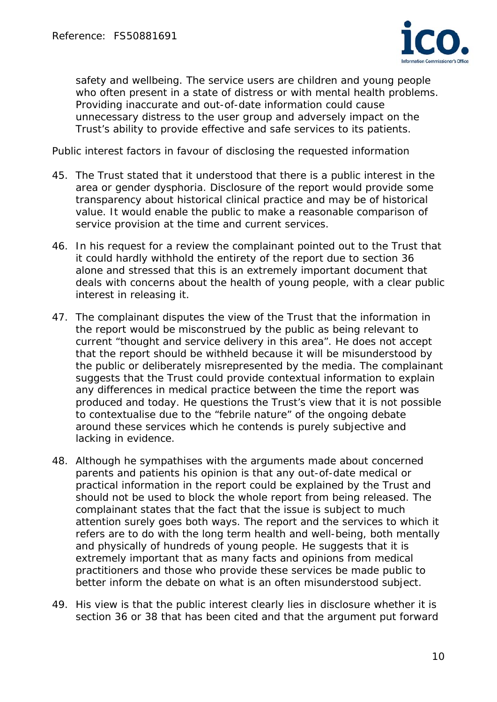

safety and wellbeing. The service users are children and young people who often present in a state of distress or with mental health problems. Providing inaccurate and out-of-date information could cause unnecessary distress to the user group and adversely impact on the Trust's ability to provide effective and safe services to its patients.

#### *Public interest factors in favour of disclosing the requested information*

- 45. The Trust stated that it understood that there is a public interest in the area or gender dysphoria. Disclosure of the report would provide some transparency about historical clinical practice and may be of historical value. It would enable the public to make a reasonable comparison of service provision at the time and current services.
- 46. In his request for a review the complainant pointed out to the Trust that it could hardly withhold the entirety of the report due to section 36 alone and stressed that this is an extremely important document that deals with concerns about the health of young people, with a clear public interest in releasing it.
- 47. The complainant disputes the view of the Trust that the information in the report would be misconstrued by the public as being relevant to current *"thought and service delivery in this area".* He does not accept that the report should be withheld because it will be misunderstood by the public or deliberately misrepresented by the media. The complainant suggests that the Trust could provide contextual information to explain any differences in medical practice between the time the report was produced and today. He questions the Trust's view that it is not possible to contextualise due to the *"febrile nature"* of the ongoing debate around these services which he contends is purely subjective and lacking in evidence.
- 48. Although he sympathises with the arguments made about concerned parents and patients his opinion is that any out-of-date medical or practical information in the report could be explained by the Trust and should not be used to block the whole report from being released. The complainant states that the fact that the issue is subject to much attention surely goes both ways. The report and the services to which it refers are to do with the long term health and well-being, both mentally and physically of hundreds of young people. He suggests that it is extremely important that as many facts and opinions from medical practitioners and those who provide these services be made public to better inform the debate on what is an often misunderstood subject.
- 49. His view is that the public interest clearly lies in disclosure whether it is section 36 or 38 that has been cited and that the argument put forward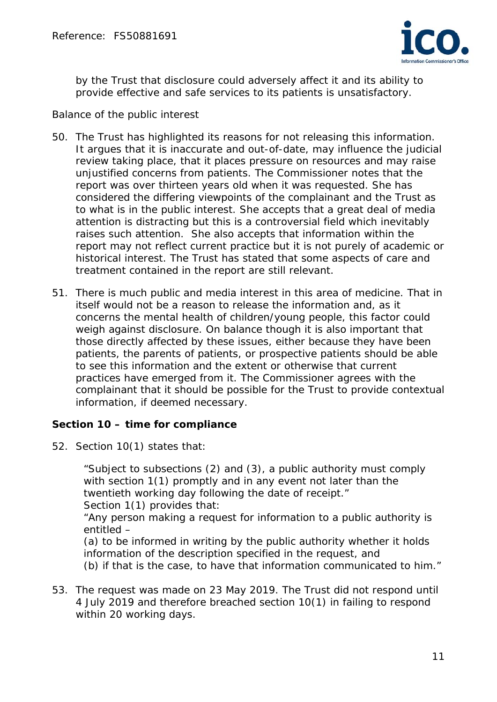

by the Trust that disclosure could adversely affect it and its ability to provide effective and safe services to its patients is unsatisfactory.

#### *Balance of the public interest*

- 50. The Trust has highlighted its reasons for not releasing this information. It argues that it is inaccurate and out-of-date, may influence the judicial review taking place, that it places pressure on resources and may raise unjustified concerns from patients. The Commissioner notes that the report was over thirteen years old when it was requested. She has considered the differing viewpoints of the complainant and the Trust as to what is in the public interest. She accepts that a great deal of media attention is distracting but this is a controversial field which inevitably raises such attention. She also accepts that information within the report may not reflect current practice but it is not purely of academic or historical interest. The Trust has stated that some aspects of care and treatment contained in the report are still relevant.
- 51. There is much public and media interest in this area of medicine. That in itself would not be a reason to release the information and, as it concerns the mental health of children/young people, this factor could weigh against disclosure. On balance though it is also important that those directly affected by these issues, either because they have been patients, the parents of patients, or prospective patients should be able to see this information and the extent or otherwise that current practices have emerged from it. The Commissioner agrees with the complainant that it should be possible for the Trust to provide contextual information, if deemed necessary.

### **Section 10 – time for compliance**

52. Section 10(1) states that:

 "Subject to subsections (2) and (3), a public authority must comply with section 1(1) promptly and in any event not later than the twentieth working day following the date of receipt." Section 1(1) provides that:

 "Any person making a request for information to a public authority is entitled –

 (a) to be informed in writing by the public authority whether it holds information of the description specified in the request, and

(b) if that is the case, to have that information communicated to him."

53. The request was made on 23 May 2019. The Trust did not respond until 4 July 2019 and therefore breached section 10(1) in failing to respond within 20 working days.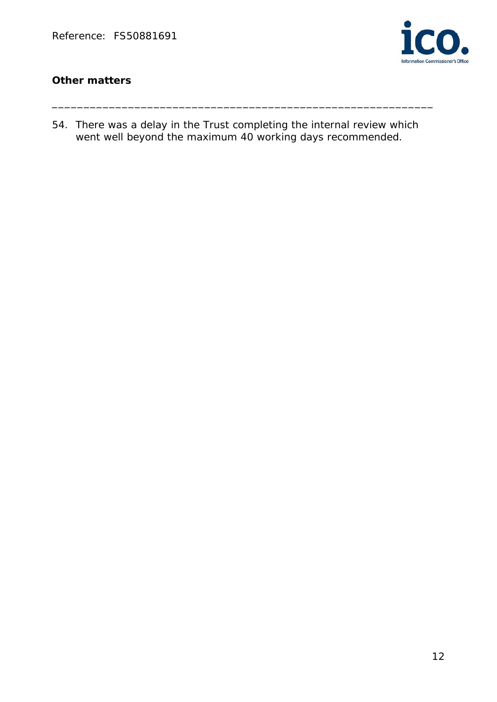

## **Other matters**

54. There was a delay in the Trust completing the internal review which went well beyond the maximum 40 working days recommended.

\_\_\_\_\_\_\_\_\_\_\_\_\_\_\_\_\_\_\_\_\_\_\_\_\_\_\_\_\_\_\_\_\_\_\_\_\_\_\_\_\_\_\_\_\_\_\_\_\_\_\_\_\_\_\_\_\_\_\_\_